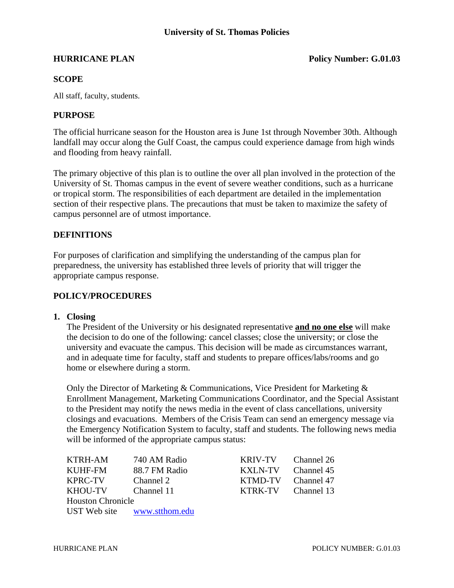#### **HURRICANE PLAN POLICY POLICY POLICY POLICY POLICY POLICY POLICY POLICY POLICY POLICY POLICY POLICY POLICY POLICY**

### **SCOPE**

All staff, faculty, students.

#### **PURPOSE**

The official hurricane season for the Houston area is June 1st through November 30th. Although landfall may occur along the Gulf Coast, the campus could experience damage from high winds and flooding from heavy rainfall.

The primary objective of this plan is to outline the over all plan involved in the protection of the University of St. Thomas campus in the event of severe weather conditions, such as a hurricane or tropical storm. The responsibilities of each department are detailed in the implementation section of their respective plans. The precautions that must be taken to maximize the safety of campus personnel are of utmost importance.

#### **DEFINITIONS**

For purposes of clarification and simplifying the understanding of the campus plan for preparedness, the university has established three levels of priority that will trigger the appropriate campus response.

#### **POLICY/PROCEDURES**

#### **1. Closing**

 The President of the University or his designated representative **and no one else** will make the decision to do one of the following: cancel classes; close the university; or close the university and evacuate the campus. This decision will be made as circumstances warrant, and in adequate time for faculty, staff and students to prepare offices/labs/rooms and go home or elsewhere during a storm.

Only the Director of Marketing & Communications, Vice President for Marketing & Enrollment Management, Marketing Communications Coordinator, and the Special Assistant to the President may notify the news media in the event of class cancellations, university closings and evacuations. Members of the Crisis Team can send an emergency message via the Emergency Notification System to faculty, staff and students. The following news media will be informed of the appropriate campus status:

KTRH-AM 740 AM Radio K KUHF-FM 88.7 FM Radio K  $KPRC-TV$  Channel 2 K KHOU-TV Channel 11 K Houston Chronicle UST Web site www.stthom.edu

| KRIV-TV | Channel 26 |
|---------|------------|
| KXLN-TV | Channel 45 |
| KTMD-TV | Channel 47 |
| KTRK-TV | Channel 13 |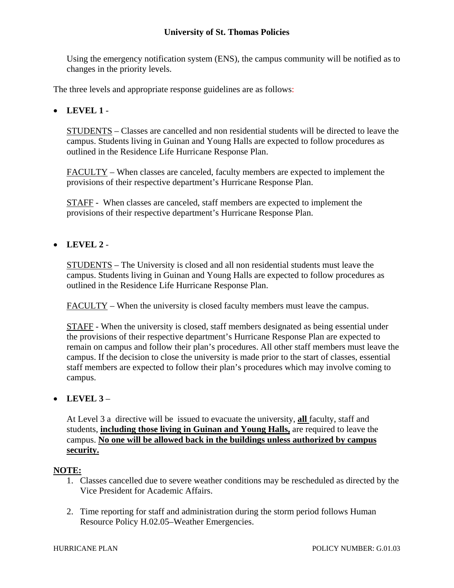## **University of St. Thomas Policies**

Using the emergency notification system (ENS), the campus community will be notified as to changes in the priority levels.

The three levels and appropriate response guidelines are as follows:

## **LEVEL 1** -

STUDENTS – Classes are cancelled and non residential students will be directed to leave the campus. Students living in Guinan and Young Halls are expected to follow procedures as outlined in the Residence Life Hurricane Response Plan.

FACULTY – When classes are canceled, faculty members are expected to implement the provisions of their respective department's Hurricane Response Plan.

STAFF - When classes are canceled, staff members are expected to implement the provisions of their respective department's Hurricane Response Plan.

# **LEVEL 2** -

STUDENTS – The University is closed and all non residential students must leave the campus. Students living in Guinan and Young Halls are expected to follow procedures as outlined in the Residence Life Hurricane Response Plan.

FACULTY – When the university is closed faculty members must leave the campus.

STAFF - When the university is closed, staff members designated as being essential under the provisions of their respective department's Hurricane Response Plan are expected to remain on campus and follow their plan's procedures. All other staff members must leave the campus. If the decision to close the university is made prior to the start of classes, essential staff members are expected to follow their plan's procedures which may involve coming to campus.

### $\bullet$  LEVEL  $3 -$

At Level 3 a directive will be issued to evacuate the university, **all** faculty, staff and students, **including those living in Guinan and Young Halls,** are required to leave the campus. **No one will be allowed back in the buildings unless authorized by campus security.**

#### **NOTE:**

- 1. Classes cancelled due to severe weather conditions may be rescheduled as directed by the Vice President for Academic Affairs.
- 2. Time reporting for staff and administration during the storm period follows Human Resource Policy H.02.05–Weather Emergencies.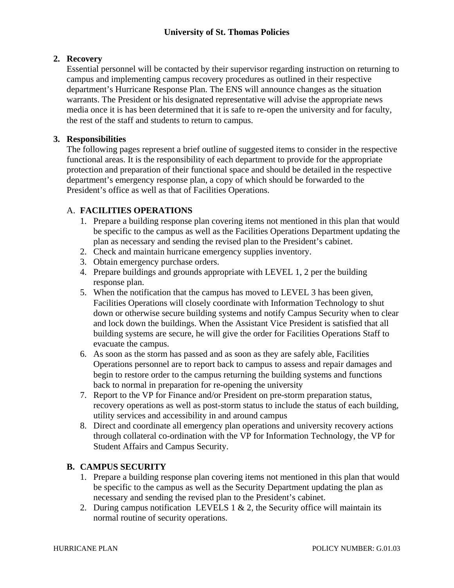# **2. Recovery**

Essential personnel will be contacted by their supervisor regarding instruction on returning to campus and implementing campus recovery procedures as outlined in their respective department's Hurricane Response Plan. The ENS will announce changes as the situation warrants. The President or his designated representative will advise the appropriate news media once it is has been determined that it is safe to re-open the university and for faculty, the rest of the staff and students to return to campus.

## **3. Responsibilities**

The following pages represent a brief outline of suggested items to consider in the respective functional areas. It is the responsibility of each department to provide for the appropriate protection and preparation of their functional space and should be detailed in the respective department's emergency response plan, a copy of which should be forwarded to the President's office as well as that of Facilities Operations.

## A. **FACILITIES OPERATIONS**

- 1. Prepare a building response plan covering items not mentioned in this plan that would be specific to the campus as well as the Facilities Operations Department updating the plan as necessary and sending the revised plan to the President's cabinet.
- 2. Check and maintain hurricane emergency supplies inventory.
- 3. Obtain emergency purchase orders.
- 4. Prepare buildings and grounds appropriate with LEVEL 1, 2 per the building response plan.
- 5. When the notification that the campus has moved to LEVEL 3 has been given, Facilities Operations will closely coordinate with Information Technology to shut down or otherwise secure building systems and notify Campus Security when to clear and lock down the buildings. When the Assistant Vice President is satisfied that all building systems are secure, he will give the order for Facilities Operations Staff to evacuate the campus.
- 6. As soon as the storm has passed and as soon as they are safely able, Facilities Operations personnel are to report back to campus to assess and repair damages and begin to restore order to the campus returning the building systems and functions back to normal in preparation for re-opening the university
- 7. Report to the VP for Finance and/or President on pre-storm preparation status, recovery operations as well as post-storm status to include the status of each building, utility services and accessibility in and around campus
- 8. Direct and coordinate all emergency plan operations and university recovery actions through collateral co-ordination with the VP for Information Technology, the VP for Student Affairs and Campus Security.

# **B. CAMPUS SECURITY**

- 1. Prepare a building response plan covering items not mentioned in this plan that would be specific to the campus as well as the Security Department updating the plan as necessary and sending the revised plan to the President's cabinet.
- 2. During campus notification LEVELS  $1 \& 2$ , the Security office will maintain its normal routine of security operations.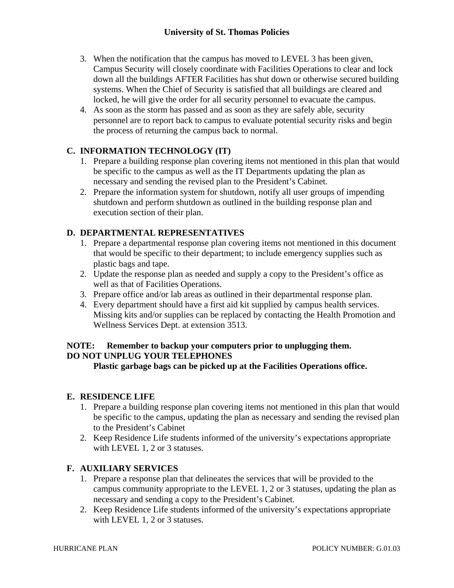- 3. When the notification that the campus has moved to LEVEL 3 has been given, Campus Security will closely coordinate with Facilities Operations to clear and lock down all the buildings AFTER Facilities has shut down or otherwise secured building systems. When the Chief of Security is satisfied that all buildings are cleared and locked, he will give the order for all security personnel to evacuate the campus.
- 4. As soon as the storm has passed and as soon as they are safely able, security personnel are to report back to campus to evaluate potential security risks and begin the process of returning the campus back to normal.

# **C. INFORMATION TECHNOLOGY (IT)**

- 1. Prepare a building response plan covering items not mentioned in this plan that would be specific to the campus as well as the IT Departments updating the plan as necessary and sending the revised plan to the President's Cabinet.
- 2. Prepare the information system for shutdown, notify all user groups of impending shutdown and perform shutdown as outlined in the building response plan and execution section of their plan.

# **D. DEPARTMENTAL REPRESENTATIVES**

- 1. Prepare a departmental response plan covering items not mentioned in this document that would be specific to their department; to include emergency supplies such as plastic bags and tape.
- 2. Update the response plan as needed and supply a copy to the President's office as well as that of Facilities Operations.
- 3. Prepare office and/or lab areas as outlined in their departmental response plan.
- 4. Every department should have a first aid kit supplied by campus health services. Missing kits and/or supplies can be replaced by contacting the Health Promotion and Wellness Services Dept. at extension 3513.

# **NOTE: Remember to backup your computers prior to unplugging them. DO NOT UNPLUG YOUR TELEPHONES**

**Plastic garbage bags can be picked up at the Facilities Operations office.** 

# **E. RESIDENCE LIFE**

- 1. Prepare a building response plan covering items not mentioned in this plan that would be specific to the campus, updating the plan as necessary and sending the revised plan to the President's Cabinet
- 2. Keep Residence Life students informed of the university's expectations appropriate with LEVEL 1, 2 or 3 statuses.

# **F. AUXILIARY SERVICES**

- 1. Prepare a response plan that delineates the services that will be provided to the campus community appropriate to the LEVEL 1, 2 or 3 statuses, updating the plan as necessary and sending a copy to the President's Cabinet.
- 2. Keep Residence Life students informed of the university's expectations appropriate with LEVEL 1, 2 or 3 statuses.